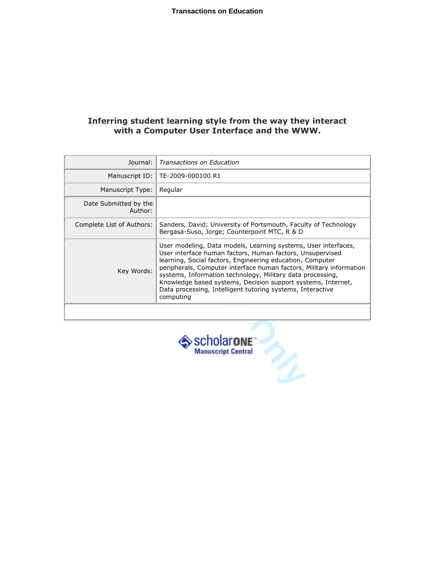## Inferring student learning style from the way they interact with a Computer User Interface and the WWW.

| Journal:                         | Transactions on Education                                                                                                                                                                                                                                                                                                                                                                                                                                                |
|----------------------------------|--------------------------------------------------------------------------------------------------------------------------------------------------------------------------------------------------------------------------------------------------------------------------------------------------------------------------------------------------------------------------------------------------------------------------------------------------------------------------|
| Manuscript ID:                   | TE-2009-000100.R1                                                                                                                                                                                                                                                                                                                                                                                                                                                        |
| Manuscript Type:                 | Regular                                                                                                                                                                                                                                                                                                                                                                                                                                                                  |
| Date Submitted by the<br>Author: |                                                                                                                                                                                                                                                                                                                                                                                                                                                                          |
| Complete List of Authors:        | Sanders, David; University of Portsmouth, Faculty of Technology<br>Bergasa-Suso, Jorge; Counterpoint MTC, R & D                                                                                                                                                                                                                                                                                                                                                          |
| Key Words:                       | User modeling, Data models, Learning systems, User interfaces,<br>User interface human factors, Human factors, Unsupervised<br>learning, Social factors, Engineering education, Computer<br>peripherals, Computer interface human factors, Military information<br>systems, Information technology, Military data processing,<br>Knowledge based systems, Decision support systems, Internet,<br>Data processing, Intelligent tutoring systems, Interactive<br>computing |
|                                  |                                                                                                                                                                                                                                                                                                                                                                                                                                                                          |
|                                  | scholarone <sup>®</sup><br><b>Manuscript Central</b>                                                                                                                                                                                                                                                                                                                                                                                                                     |

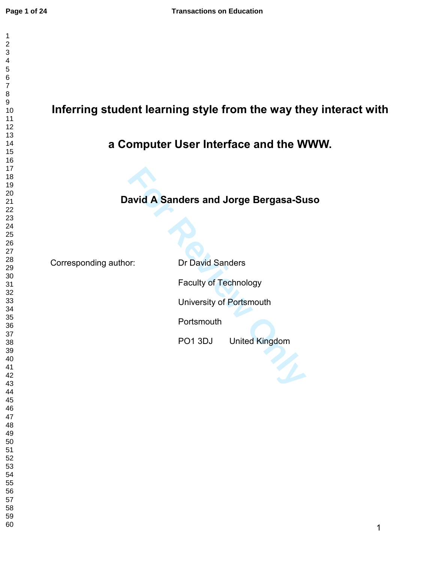# Inferring student learning style from the way they interact with

# a Computer User Interface and the WWW.

## David A Sanders and Jorge Bergasa-Suso

Corresponding author: Dr David Sanders

**Formal Standard Sanders and Jorge Bergasa-Summer<br>
Formal Sanders<br>
Faculty of Technology<br>
University of Portsmouth<br>
PO1 3DJ United Kingdom** Faculty of Technology University of Portsmouth Portsmouth PO1 3DJ United Kingdom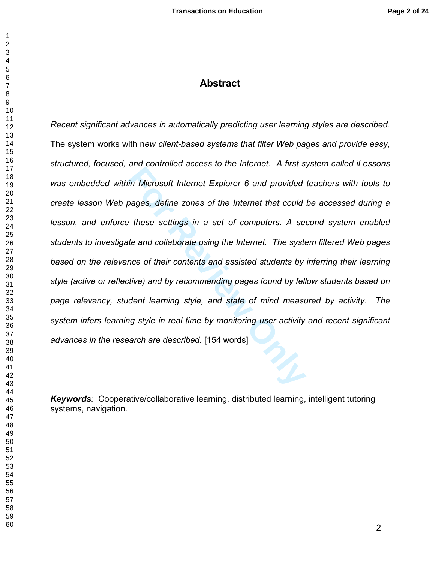## Abstract

and considerate access to the internet *Primes* of the Microsoft Internet Explorer 6 and provided<br>pages, define zones of the Internet that could<br>these settings in a set of computers. A set<br>te and collaborate using the Inte *Recent significant advances in automatically predicting user learning styles are described.*  The system works with n*ew client-based systems that filter Web pages and provide easy, structured, focused, and controlled access to the Internet. A first system called iLessons was embedded within Microsoft Internet Explorer 6 and provided teachers with tools to create lesson Web pages, define zones of the Internet that could be accessed during a lesson, and enforce these settings in a set of computers. A second system enabled students to investigate and collaborate using the Internet. The system filtered Web pages*  based on the relevance of their contents and assisted students by inferring their learning *style (active or reflective) and by recommending pages found by fellow students based on page relevancy, student learning style, and state of mind measured by activity. The system infers learning style in real time by monitoring user activity and recent significant advances in the research are described.* [154 words]

Keywords*:* Cooperative/collaborative learning, distributed learning, intelligent tutoring systems, navigation.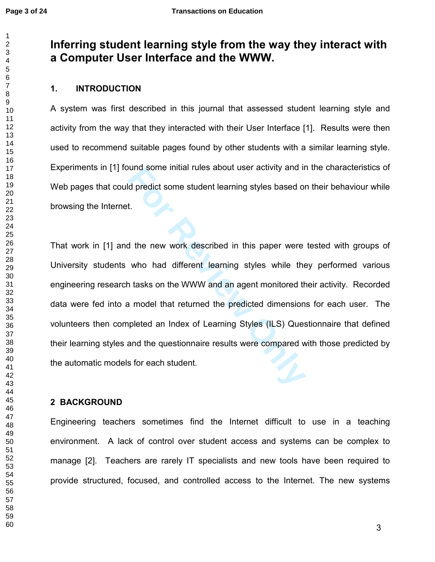$\mathbf 1$  $\overline{2}$ 

## Inferring student learning style from the way they interact with a Computer User Interface and the WWW.

## 1. INTRODUCTION

A system was first described in this journal that assessed student learning style and activity from the way that they interacted with their User Interface [1]. Results were then used to recommend suitable pages found by other students with a similar learning style. Experiments in [1] found some initial rules about user activity and in the characteristics of Web pages that could predict some student learning styles based on their behaviour while browsing the Internet.

bund some initial rules about user activity and if<br>d predict some student learning styles based or<br>t.<br>The new work described in this paper were<br>who had different learning styles while the<br>a tasks on the WWW and an agent mo That work in [1] and the new work described in this paper were tested with groups of University students who had different learning styles while they performed various engineering research tasks on the WWW and an agent monitored their activity. Recorded data were fed into a model that returned the predicted dimensions for each user. The volunteers then completed an Index of Learning Styles (ILS) Questionnaire that defined their learning styles and the questionnaire results were compared with those predicted by the automatic models for each student.

## 2 BACKGROUND

Engineering teachers sometimes find the Internet difficult to use in a teaching environment. A lack of control over student access and systems can be complex to manage [2]. Teachers are rarely IT specialists and new tools have been required to provide structured, focused, and controlled access to the Internet. The new systems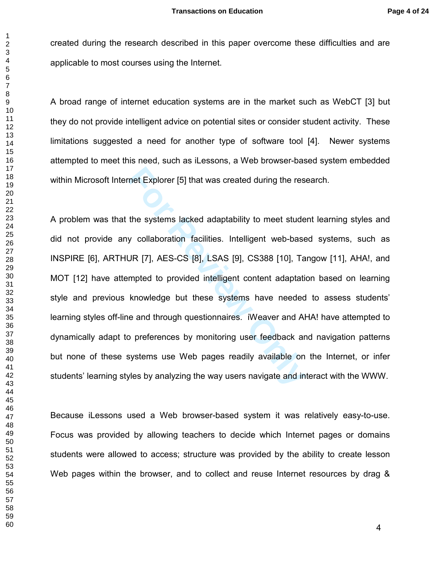created during the research described in this paper overcome these difficulties and are applicable to most courses using the Internet.

A broad range of internet education systems are in the market such as WebCT [3] but they do not provide intelligent advice on potential sites or consider student activity. These limitations suggested a need for another type of software tool [4]. Newer systems attempted to meet this need, such as iLessons, a Web browser-based system embedded within Microsoft Internet Explorer [5] that was created during the research.

met Explorer [5] that was created during the res<br>the systems lacked adaptability to meet stude<br>y collaboration facilities. Intelligent web-base<br>JR [7], AES-CS [8], LSAS [9], CS388 [10], Ta<br>mpted to provided intelligent con A problem was that the systems lacked adaptability to meet student learning styles and did not provide any collaboration facilities. Intelligent web-based systems, such as INSPIRE [6], ARTHUR [7], AES-CS [8], LSAS [9], CS388 [10], Tangow [11], AHA!, and MOT [12] have attempted to provided intelligent content adaptation based on learning style and previous knowledge but these systems have needed to assess students' learning styles off-line and through questionnaires. iWeaver and AHA! have attempted to dynamically adapt to preferences by monitoring user feedback and navigation patterns but none of these systems use Web pages readily available on the Internet, or infer students' learning styles by analyzing the way users navigate and interact with the WWW.

Because iLessons used a Web browser-based system it was relatively easy-to-use. Focus was provided by allowing teachers to decide which Internet pages or domains students were allowed to access; structure was provided by the ability to create lesson Web pages within the browser, and to collect and reuse Internet resources by drag &

 $\mathbf{1}$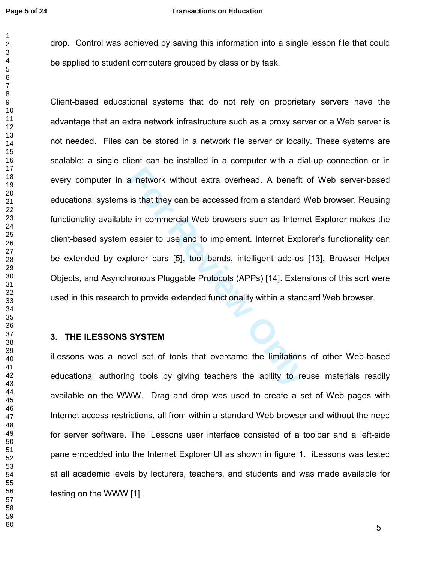$\mathbf{1}$  $\overline{2}$ 

drop. Control was achieved by saving this information into a single lesson file that could be applied to student computers grouped by class or by task.

a network without extra overhead. A benefit<br>is that they can be accessed from a standard \<br>e in commercial Web browsers such as Interne<br>easier to use and to implement. Internet Explo<br>plorer bars [5], tool bands, intelligen Client-based educational systems that do not rely on proprietary servers have the advantage that an extra network infrastructure such as a proxy server or a Web server is not needed. Files can be stored in a network file server or locally. These systems are scalable; a single client can be installed in a computer with a dial-up connection or in every computer in a network without extra overhead. A benefit of Web server-based educational systems is that they can be accessed from a standard Web browser. Reusing functionality available in commercial Web browsers such as Internet Explorer makes the client-based system easier to use and to implement. Internet Explorer's functionality can be extended by explorer bars [5], tool bands, intelligent add-os [13], Browser Helper Objects, and Asynchronous Pluggable Protocols (APPs) [14]. Extensions of this sort were used in this research to provide extended functionality within a standard Web browser.

### 3. THE ILESSONS SYSTEM

iLessons was a novel set of tools that overcame the limitations of other Web-based educational authoring tools by giving teachers the ability to reuse materials readily available on the WWW. Drag and drop was used to create a set of Web pages with Internet access restrictions, all from within a standard Web browser and without the need for server software. The iLessons user interface consisted of a toolbar and a left-side pane embedded into the Internet Explorer UI as shown in figure 1. iLessons was tested at all academic levels by lecturers, teachers, and students and was made available for testing on the WWW [1].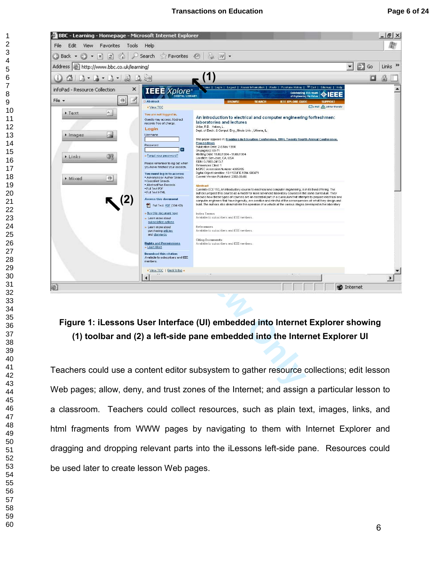| BBC - Learning - Homepage - Microsoft Internet Explorer<br>File<br>Edit<br>View<br>Favorites | Tools<br>Help                                                                  |                                                                                                                                                                                                                                                                                                                                                 |                   | $ B$ $\times$             |
|----------------------------------------------------------------------------------------------|--------------------------------------------------------------------------------|-------------------------------------------------------------------------------------------------------------------------------------------------------------------------------------------------------------------------------------------------------------------------------------------------------------------------------------------------|-------------------|---------------------------|
| Back -<br>×<br>12)                                                                           | Search<br><b>Favorites</b>                                                     | 89.<br> W                                                                                                                                                                                                                                                                                                                                       |                   |                           |
| Address   B   http://www.bbc.co.uk/learning/                                                 |                                                                                |                                                                                                                                                                                                                                                                                                                                                 | Đ<br>Go<br>▼      | Links <sup>&gt;&gt;</sup> |
| 2<br>$\mathbb{R}$ and $\mathbb{R}$ and $\mathbb{R}$<br>ω                                     | LQ.<br>돈이                                                                      | (1)                                                                                                                                                                                                                                                                                                                                             | O                 | 矗                         |
| infoPad - Resource Collection                                                                | ×<br><b>IEEE</b> Xplore                                                        | me   Login   Logout   Access Information   Alerts   Purchase History   <sup>黎</sup> Cart   Sitemap   Help                                                                                                                                                                                                                                       |                   | ۸                         |
| $File -$<br>$\Theta$                                                                         | <b>DIGITAL LIBRAR</b><br>4<br><b>D</b> Abstract                                | <b>Celebrating 125 Years</b><br>◈IEEE<br>of Eng<br><b>BROWS</b><br><b>SFARCH</b><br><b>IEEE XPLORE GUIDI</b>                                                                                                                                                                                                                                    |                   |                           |
| A                                                                                            | ◀ View TOC                                                                     | De-mail Aprinter friendly                                                                                                                                                                                                                                                                                                                       |                   |                           |
| • Text                                                                                       | You are not logged in.<br>Guests may access Abstract<br>records free of charge | An introduction to electrical and computer engineering forfreshmen:<br>laboratories and lectures<br>Uribe, R.B. Haken, L.                                                                                                                                                                                                                       |                   |                           |
| lmages                                                                                       | Login<br>Username                                                              | Dept. of Electr. & Comput. Eng., Illinois Univ., Urbana, IL;                                                                                                                                                                                                                                                                                    |                   |                           |
|                                                                                              | Password                                                                       | This paper appears in: Frontiers in Education Conference, 1994. Twenty-fourth Annual Conference.<br><b>Proceedings</b><br>Publication Date: 2-6 Nov 1994                                                                                                                                                                                        |                   |                           |
| UX.<br>Links                                                                                 | [≫<br>» Forgot your password?                                                  | On page(s): 68-71<br>Meeting Date: 11/02/1994 - 11/06/1994                                                                                                                                                                                                                                                                                      |                   |                           |
|                                                                                              | Please remember to log out when<br>you have finished your session              | Location: San Jose, CA, USA<br>ISBN: 0-7803-2413-7<br>References Cited: 1                                                                                                                                                                                                                                                                       |                   |                           |
|                                                                                              | You must log in to access:<br>- Advanced or Author Search                      | INSPEC Accession Number: 4985895<br>Digital Object Identifier: 10.1109/FIE.1994.580471<br>Current Version Published: 2002-08-06                                                                                                                                                                                                                 |                   |                           |
| ø<br>• Mixed                                                                                 | · CrossRef Search<br>· AbstractPlus Records                                    | <b>Abstract</b>                                                                                                                                                                                                                                                                                                                                 |                   |                           |
|                                                                                              | · Full Text PDF<br>. Full Text HTML                                            | Currently ECE 110, an introductory course to electrical and computer engineering, is in its third offering. The<br>authors propose this course as a model for more advanced laboratory courses in the same curriculum. They<br>discuss how these types of courses are an essential part of a curriculum that attempts to prepare electrical and |                   |                           |
|                                                                                              | <b>Access this document</b><br>Full Text: PDE (384 KB)                         | computer engineers that have ingenuity, are creative and mindful of the consequences of what they design and<br>build. The authors also demonstrate the operation of a vehicle at the various stages developed in the laboratory                                                                                                                |                   |                           |
|                                                                                              | » Buy this document now<br><b>b</b> Learn more about                           | Index Terms<br>Available to subscribers and IEEE members.                                                                                                                                                                                                                                                                                       |                   |                           |
|                                                                                              | subscription options<br>Learn more about                                       | References                                                                                                                                                                                                                                                                                                                                      |                   |                           |
|                                                                                              | purchasing articles<br>and standards                                           | Available to subscribers and IEEE members                                                                                                                                                                                                                                                                                                       |                   |                           |
|                                                                                              | <b>Rights and Permissions</b><br>» Learn More                                  | <b>Citing Documents</b><br>Available to subscribers and IEEE members.                                                                                                                                                                                                                                                                           |                   |                           |
|                                                                                              | <b>Download this citation</b><br>Available to subscribers and IEEE<br>members  |                                                                                                                                                                                                                                                                                                                                                 |                   |                           |
|                                                                                              | ◆ View TOC   Back to top ▲                                                     |                                                                                                                                                                                                                                                                                                                                                 |                   |                           |
|                                                                                              |                                                                                |                                                                                                                                                                                                                                                                                                                                                 |                   |                           |
| 繿                                                                                            |                                                                                |                                                                                                                                                                                                                                                                                                                                                 | <b>O</b> Internet |                           |
|                                                                                              |                                                                                |                                                                                                                                                                                                                                                                                                                                                 |                   |                           |
|                                                                                              |                                                                                |                                                                                                                                                                                                                                                                                                                                                 |                   |                           |
|                                                                                              |                                                                                | Figure 1: iLessons User Interface (UI) embedded into Internet Explorer showing                                                                                                                                                                                                                                                                  |                   |                           |
|                                                                                              |                                                                                |                                                                                                                                                                                                                                                                                                                                                 |                   |                           |
|                                                                                              |                                                                                | (1) toolbar and (2) a left-side pane embedded into the Internet Explorer UI                                                                                                                                                                                                                                                                     |                   |                           |
|                                                                                              |                                                                                |                                                                                                                                                                                                                                                                                                                                                 |                   |                           |
|                                                                                              |                                                                                | Teachers could use a content editor subsystem to gather resource collections; edit lesson                                                                                                                                                                                                                                                       |                   |                           |
|                                                                                              |                                                                                |                                                                                                                                                                                                                                                                                                                                                 |                   |                           |
|                                                                                              |                                                                                | Web pages: allow, deny, and trust zones of the Internet: and assign a particular lesson to                                                                                                                                                                                                                                                      |                   |                           |

## Figure 1: iLessons User Interface (UI) embedded into Internet Explorer showing (1) toolbar and (2) a left-side pane embedded into the Internet Explorer UI

Teachers could use a content editor subsystem to gather resource collections; edit lesson Web pages; allow, deny, and trust zones of the Internet; and assign a particular lesson to a classroom. Teachers could collect resources, such as plain text, images, links, and html fragments from WWW pages by navigating to them with Internet Explorer and dragging and dropping relevant parts into the iLessons left-side pane. Resources could be used later to create lesson Web pages.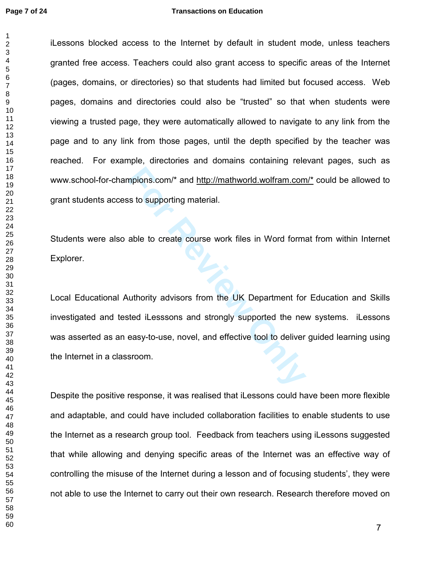$\mathbf 1$ 

iLessons blocked access to the Internet by default in student mode, unless teachers granted free access. Teachers could also grant access to specific areas of the Internet (pages, domains, or directories) so that students had limited but focused access. Web pages, domains and directories could also be "trusted" so that when students were viewing a trusted page, they were automatically allowed to navigate to any link from the page and to any link from those pages, until the depth specified by the teacher was reached. For example, directories and domains containing relevant pages, such as www.school-for-champions.com/\* and http://mathworld.wolfram.com/\* could be allowed to grant students access to supporting material.

Students were also able to create course work files in Word format from within Internet Explorer.

mpions.com/\* and http://mathworld.wolfram.com<br>
s to supporting material.<br>
able to create course work files in Word form<br>
uthority advisors from the UK Department for<br>
ted iLesssons and strongly supported the net<br>
easy-to-u Local Educational Authority advisors from the UK Department for Education and Skills investigated and tested iLesssons and strongly supported the new systems. iLessons was asserted as an easy-to-use, novel, and effective tool to deliver guided learning using the Internet in a classroom.

Despite the positive response, it was realised that iLessons could have been more flexible and adaptable, and could have included collaboration facilities to enable students to use the Internet as a research group tool. Feedback from teachers using iLessons suggested that while allowing and denying specific areas of the Internet was an effective way of controlling the misuse of the Internet during a lesson and of focusing students', they were not able to use the Internet to carry out their own research. Research therefore moved on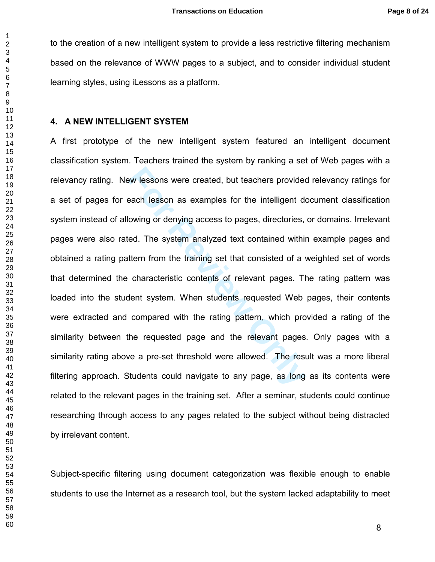to the creation of a new intelligent system to provide a less restrictive filtering mechanism based on the relevance of WWW pages to a subject, and to consider individual student learning styles, using iLessons as a platform.

#### 4. A NEW INTELLIGENT SYSTEM

Examples for the intelligent developerach lesson as examples for the intelligent developerach lesson as examples for the intelligent developeracy owing or denying access to pages, directories, ed. The system analyzed text A first prototype of the new intelligent system featured an intelligent document classification system. Teachers trained the system by ranking a set of Web pages with a relevancy rating. New lessons were created, but teachers provided relevancy ratings for a set of pages for each lesson as examples for the intelligent document classification system instead of allowing or denying access to pages, directories, or domains. Irrelevant pages were also rated. The system analyzed text contained within example pages and obtained a rating pattern from the training set that consisted of a weighted set of words that determined the characteristic contents of relevant pages. The rating pattern was loaded into the student system. When students requested Web pages, their contents were extracted and compared with the rating pattern, which provided a rating of the similarity between the requested page and the relevant pages. Only pages with a similarity rating above a pre-set threshold were allowed. The result was a more liberal filtering approach. Students could navigate to any page, as long as its contents were related to the relevant pages in the training set. After a seminar, students could continue researching through access to any pages related to the subject without being distracted by irrelevant content.

Subject-specific filtering using document categorization was flexible enough to enable students to use the Internet as a research tool, but the system lacked adaptability to meet

 $\mathbf{1}$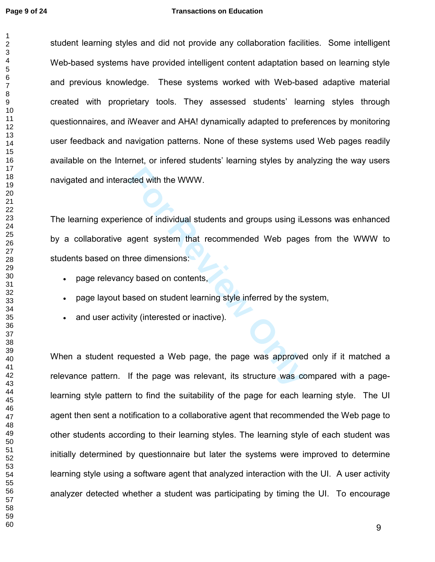$\mathbf{1}$ 

#### **Page 9 of 24 Transactions on Education**

student learning styles and did not provide any collaboration facilities. Some intelligent Web-based systems have provided intelligent content adaptation based on learning style and previous knowledge. These systems worked with Web-based adaptive material created with proprietary tools. They assessed students' learning styles through questionnaires, and iWeaver and AHA! dynamically adapted to preferences by monitoring user feedback and navigation patterns. None of these systems used Web pages readily available on the Internet, or infered students' learning styles by analyzing the way users navigated and interacted with the WWW.

cted with the WWW.<br>
Ince of individual students and groups using iLe<br> **For Review of the Commended Web page:**<br>
For Review of May and State interned by the sy-<br>
For Review Only interested or inactive).<br> **For Allen State int** The learning experience of individual students and groups using iLessons was enhanced by a collaborative agent system that recommended Web pages from the WWW to students based on three dimensions:

- page relevancy based on contents,
- page layout based on student learning style inferred by the system,
- and user activity (interested or inactive).

When a student requested a Web page, the page was approved only if it matched a relevance pattern. If the page was relevant, its structure was compared with a pagelearning style pattern to find the suitability of the page for each learning style. The UI agent then sent a notification to a collaborative agent that recommended the Web page to other students according to their learning styles. The learning style of each student was initially determined by questionnaire but later the systems were improved to determine learning style using a software agent that analyzed interaction with the UI. A user activity analyzer detected whether a student was participating by timing the UI. To encourage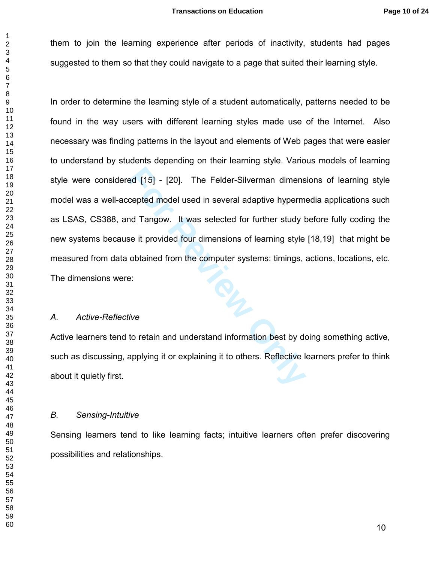them to join the learning experience after periods of inactivity, students had pages suggested to them so that they could navigate to a page that suited their learning style.

For Felder-Silverman dimens<br>
For Felder-Silverman dimens<br>
For Felder-Silverman dimens<br>
For Felder Silverman<br>
In Tangow. It was selected for further study to<br>
For Felder Silverman style<br>
obtained from the computer systems: In order to determine the learning style of a student automatically, patterns needed to be found in the way users with different learning styles made use of the Internet. Also necessary was finding patterns in the layout and elements of Web pages that were easier to understand by students depending on their learning style. Various models of learning style were considered [15] - [20]. The Felder-Silverman dimensions of learning style model was a well-accepted model used in several adaptive hypermedia applications such as LSAS, CS388, and Tangow. It was selected for further study before fully coding the new systems because it provided four dimensions of learning style [18,19] that might be measured from data obtained from the computer systems: timings, actions, locations, etc. The dimensions were:

#### *A. Active-Reflective*

Active learners tend to retain and understand information best by doing something active, such as discussing, applying it or explaining it to others. Reflective learners prefer to think about it quietly first.

#### *B. Sensing-Intuitive*

Sensing learners tend to like learning facts; intuitive learners often prefer discovering possibilities and relationships.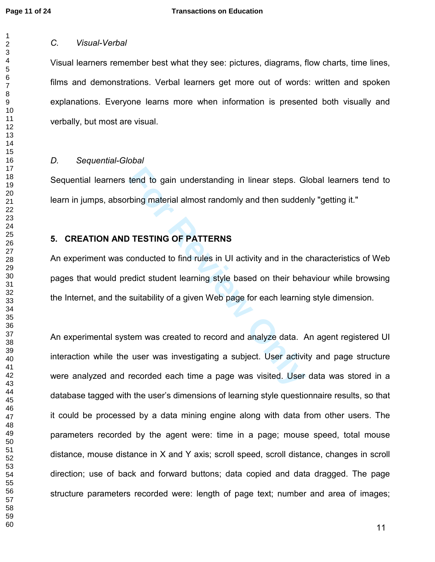$\mathbf 1$ 

#### *C. Visual-Verbal*

Visual learners remember best what they see: pictures, diagrams, flow charts, time lines, films and demonstrations. Verbal learners get more out of words: written and spoken explanations. Everyone learns more when information is presented both visually and verbally, but most are visual.

#### *D. Sequential-Global*

Sequential learners tend to gain understanding in linear steps. Global learners tend to learn in jumps, absorbing material almost randomly and then suddenly "getting it."

## 5. CREATION AND TESTING OF PATTERNS

An experiment was conducted to find rules in UI activity and in the characteristics of Web pages that would predict student learning style based on their behaviour while browsing the Internet, and the suitability of a given Web page for each learning style dimension.

tend to gain understanding in linear steps. G<br>
rbing material almost randomly and then sudder<br> **FIGUSE 1989**<br> **FIGUSE 1989**<br> **FIGUSE 1989**<br> **FIGUSE 1989**<br> **FIGUSE 1989**<br> **FIGUSE 1989**<br> **FIGUSE 1989**<br> **FIGUSE 1989**<br> **FIGUSE** An experimental system was created to record and analyze data. An agent registered UI interaction while the user was investigating a subject. User activity and page structure were analyzed and recorded each time a page was visited. User data was stored in a database tagged with the user's dimensions of learning style questionnaire results, so that it could be processed by a data mining engine along with data from other users. The parameters recorded by the agent were: time in a page; mouse speed, total mouse distance, mouse distance in X and Y axis; scroll speed, scroll distance, changes in scroll direction; use of back and forward buttons; data copied and data dragged. The page structure parameters recorded were: length of page text; number and area of images;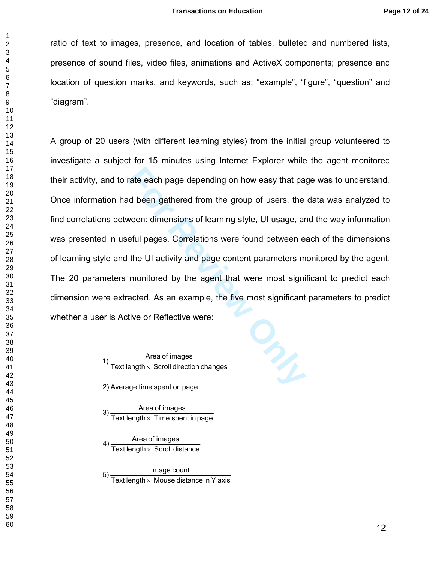ratio of text to images, presence, and location of tables, bulleted and numbered lists, presence of sound files, video files, animations and ActiveX components; presence and location of question marks, and keywords, such as: "example", "figure", "question" and "diagram".

rate each page depending on how easy that page<br>
d been gathered from the group of users, the<br>
veen: dimensions of learning style, UI usage, ar<br>
eful pages. Correlations were found between e<br>
the UI activity and page conten A group of 20 users (with different learning styles) from the initial group volunteered to investigate a subject for 15 minutes using Internet Explorer while the agent monitored their activity, and to rate each page depending on how easy that page was to understand. Once information had been gathered from the group of users, the data was analyzed to find correlations between: dimensions of learning style, UI usage, and the way information was presented in useful pages. Correlations were found between each of the dimensions of learning style and the UI activity and page content parameters monitored by the agent. The 20 parameters monitored by the agent that were most significant to predict each dimension were extracted. As an example, the five most significant parameters to predict whether a user is Active or Reflective were:

1)  $\frac{\text{Area of images}}{\text{Text length} \times \text{Scroll direction changes}}$ 

2) Average time spent on page

 $\frac{3}{10}$  Text length  $\times$  Time spent in page

4) Area of images<br>Text length × Scroll distance

Image count<br>Text length × Mouse distance in Y axis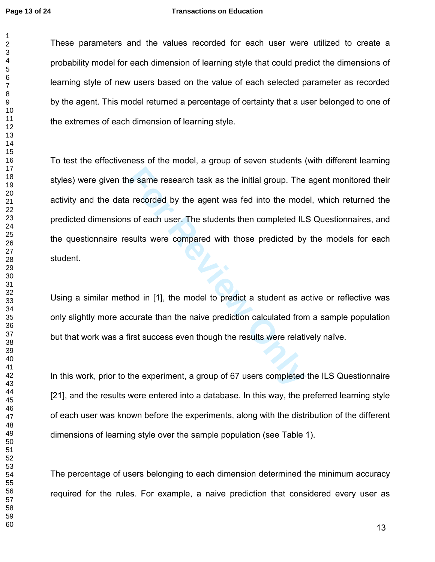$\mathbf{1}$  $\overline{2}$ 

#### **Page 13 of 24 Transactions on Education**

These parameters and the values recorded for each user were utilized to create a probability model for each dimension of learning style that could predict the dimensions of learning style of new users based on the value of each selected parameter as recorded by the agent. This model returned a percentage of certainty that a user belonged to one of the extremes of each dimension of learning style.

The same research task as the initial group. The<br>**Formular Concident** variation of each user. The students then completed IL:<br>**Formular Solution** with those predicted by<br>nod in [1], the model to predict a student as a<br>ccur To test the effectiveness of the model, a group of seven students (with different learning styles) were given the same research task as the initial group. The agent monitored their activity and the data recorded by the agent was fed into the model, which returned the predicted dimensions of each user. The students then completed ILS Questionnaires, and the questionnaire results were compared with those predicted by the models for each student.

Using a similar method in [1], the model to predict a student as active or reflective was only slightly more accurate than the naive prediction calculated from a sample population but that work was a first success even though the results were relatively naïve.

In this work, prior to the experiment, a group of 67 users completed the ILS Questionnaire [21], and the results were entered into a database. In this way, the preferred learning style of each user was known before the experiments, along with the distribution of the different dimensions of learning style over the sample population (see Table 1).

The percentage of users belonging to each dimension determined the minimum accuracy required for the rules. For example, a naive prediction that considered every user as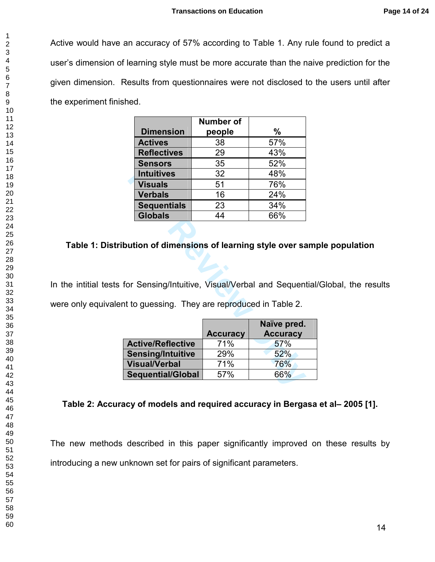Active would have an accuracy of 57% according to Table 1. Any rule found to predict a user's dimension of learning style must be more accurate than the naive prediction for the given dimension. Results from questionnaires were not disclosed to the users until after the experiment finished.

|                    | <b>Number of</b> |     |
|--------------------|------------------|-----|
| <b>Dimension</b>   | people           | %   |
| <b>Actives</b>     | 38               | 57% |
| <b>Reflectives</b> | 29               | 43% |
| <b>Sensors</b>     | 35               | 52% |
| <b>Intuitives</b>  | 32               | 48% |
| <b>Visuals</b>     | 51               | 76% |
| <b>Verbals</b>     | 16               | 24% |
| <b>Sequentials</b> | 23               | 34% |
| <b>Globals</b>     | 44               | 66% |

## Table 1: Distribution of dimensions of learning style over sample population

In the intitial tests for Sensing/Intuitive, Visual/Verbal and Sequential/Global, the results were only equivalent to guessing. They are reproduced in Table 2.

| <b>Intuitives</b>        | 32                                              | 48%                                                  |
|--------------------------|-------------------------------------------------|------------------------------------------------------|
| <b>Visuals</b>           | 51                                              | 76%                                                  |
| <b>Verbals</b>           | 16                                              | 24%                                                  |
| <b>Sequentials</b>       | 23                                              | 34%                                                  |
| <b>Globals</b>           | 44                                              | 66%                                                  |
|                          |                                                 | bution of dimensions of learning style over samp     |
|                          | nt to guessing. They are reproduced in Table 2. | for Sensing/Intuitive, Visual/Verbal and Sequential/ |
|                          |                                                 |                                                      |
|                          | <b>Accuracy</b>                                 | Naïve pred.<br><b>Accuracy</b>                       |
| <b>Active/Reflective</b> | 71%                                             | 57%                                                  |
| <b>Sensing/Intuitive</b> | 29%                                             | 52%                                                  |
| <b>Visual/Verbal</b>     | 71%                                             | 76%                                                  |

## Table 2: Accuracy of models and required accuracy in Bergasa et al– 2005 [1].

The new methods described in this paper significantly improved on these results by introducing a new unknown set for pairs of significant parameters.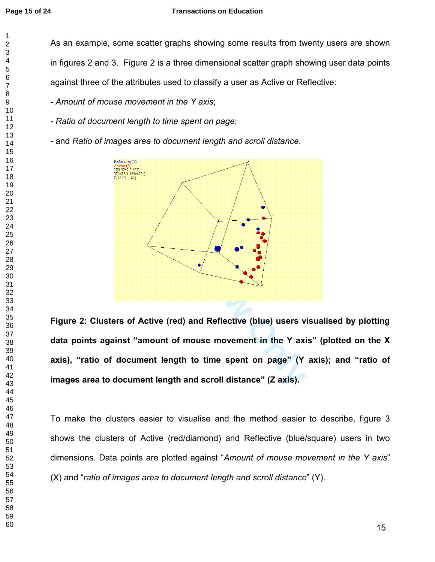As an example, some scatter graphs showing some results from twenty users are shown in figures 2 and 3. Figure 2 is a three dimensional scatter graph showing user data points against three of the attributes used to classify a user as Active or Reflective:

- *Amount of mouse movement in the Y axis*;

*- Ratio of document length to time spent on page*;

- and *Ratio of images area to document length and scroll distance*.



Figure 2: Clusters of Active (red) and Reflective (blue) users visualised by plotting data points against "amount of mouse movement in the Y axis" (plotted on the X axis), "ratio of document length to time spent on page" (Y axis); and "ratio of images area to document length and scroll distance" (Z axis).

To make the clusters easier to visualise and the method easier to describe, figure 3 shows the clusters of Active (red/diamond) and Reflective (blue/square) users in two dimensions. Data points are plotted against "*Amount of mouse movement in the Y axis*" (X) and "*ratio of images area to document length and scroll distance*" (Y).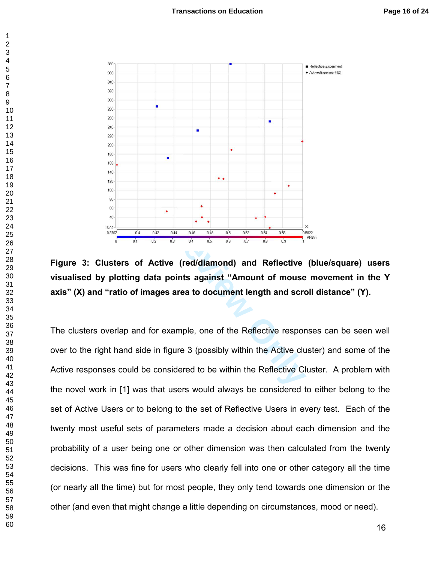

Figure 3: Clusters of Active (red/diamond) and Reflective (blue/square) users visualised by plotting data points against "Amount of mouse movement in the Y axis" (X) and "ratio of images area to document length and scroll distance" (Y).

The clusters overlap and for example, one of the Reflective responses can be seen well over to the right hand side in figure 3 (possibly within the Active cluster) and some of the Active responses could be considered to be within the Reflective Cluster. A problem with the novel work in [1] was that users would always be considered to either belong to the set of Active Users or to belong to the set of Reflective Users in every test. Each of the twenty most useful sets of parameters made a decision about each dimension and the probability of a user being one or other dimension was then calculated from the twenty decisions. This was fine for users who clearly fell into one or other category all the time (or nearly all the time) but for most people, they only tend towards one dimension or the other (and even that might change a little depending on circumstances, mood or need).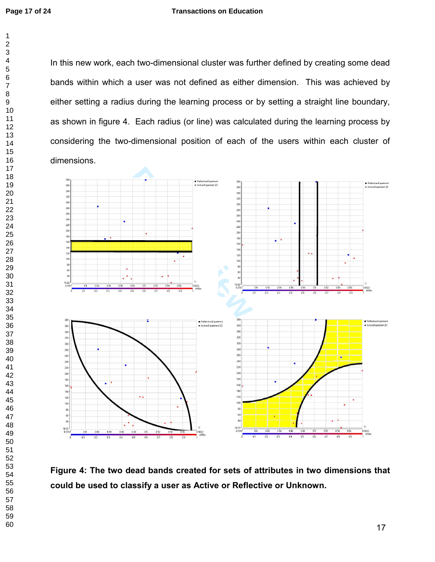In this new work, each two-dimensional cluster was further defined by creating some dead bands within which a user was not defined as either dimension. This was achieved by either setting a radius during the learning process or by setting a straight line boundary, as shown in figure 4. Each radius (or line) was calculated during the learning process by considering the two-dimensional position of each of the users within each cluster of dimensions.



Figure 4: The two dead bands created for sets of attributes in two dimensions that could be used to classify a user as Active or Reflective or Unknown.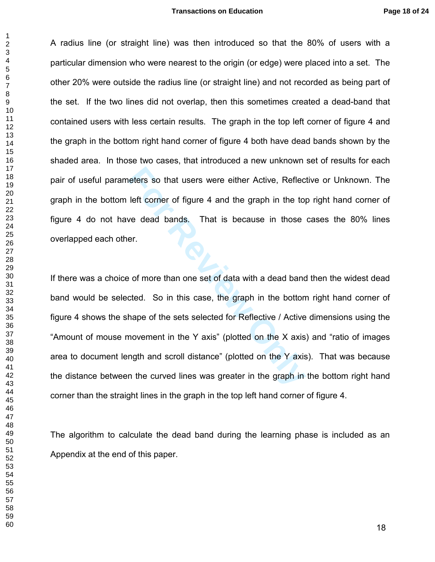A radius line (or straight line) was then introduced so that the 80% of users with a particular dimension who were nearest to the origin (or edge) were placed into a set. The other 20% were outside the radius line (or straight line) and not recorded as being part of the set. If the two lines did not overlap, then this sometimes created a dead-band that contained users with less certain results. The graph in the top left corner of figure 4 and the graph in the bottom right hand corner of figure 4 both have dead bands shown by the shaded area. In those two cases, that introduced a new unknown set of results for each pair of useful parameters so that users were either Active, Reflective or Unknown. The graph in the bottom left corner of figure 4 and the graph in the top right hand corner of figure 4 do not have dead bands. That is because in those cases the 80% lines overlapped each other.

refers so that users were either Active, Reflect<br>
Left corner of figure 4 and the graph in the top<br>
we dead bands. That is because in those<br>
er.<br>
For of more than one set of data with a dead banc<br>
cted. So in this case, th If there was a choice of more than one set of data with a dead band then the widest dead band would be selected. So in this case, the graph in the bottom right hand corner of figure 4 shows the shape of the sets selected for Reflective / Active dimensions using the "Amount of mouse movement in the Y axis" (plotted on the X axis) and "ratio of images area to document length and scroll distance" (plotted on the Y axis). That was because the distance between the curved lines was greater in the graph in the bottom right hand corner than the straight lines in the graph in the top left hand corner of figure 4.

The algorithm to calculate the dead band during the learning phase is included as an Appendix at the end of this paper.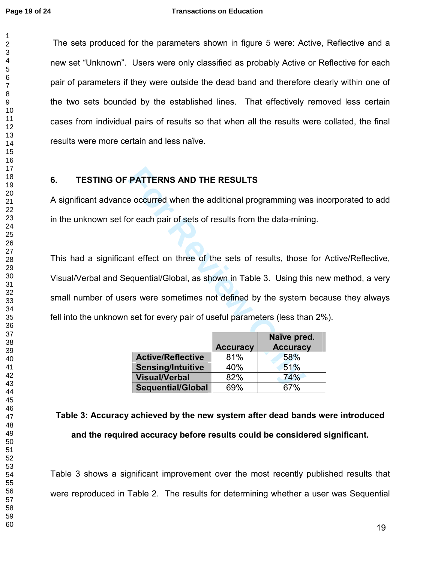$\mathbf{1}$ 

 The sets produced for the parameters shown in figure 5 were: Active, Reflective and a new set "Unknown". Users were only classified as probably Active or Reflective for each pair of parameters if they were outside the dead band and therefore clearly within one of the two sets bounded by the established lines. That effectively removed less certain cases from individual pairs of results so that when all the results were collated, the final results were more certain and less naïve. 6. TESTING OF PATTERNS AND THE RESULTS A significant advance occurred when the additional programming was incorporated to add in the unknown set for each pair of sets of results from the data-mining.

**FATTERNS AND THE RESULTS**<br>
Executed when the additional programming was<br>
por each pair of sets of results from the data-mini<br>
the effect on three of the sets of results, those<br>
equential/Global, as shown in Table 3. Using This had a significant effect on three of the sets of results, those for Active/Reflective, Visual/Verbal and Sequential/Global, as shown in Table 3. Using this new method, a very small number of users were sometimes not defined by the system because they always fell into the unknown set for every pair of useful parameters (less than 2%).

|                          |                 | Naïve pred.     |
|--------------------------|-----------------|-----------------|
|                          | <b>Accuracy</b> | <b>Accuracy</b> |
| <b>Active/Reflective</b> | 81%             | 58%             |
| <b>Sensing/Intuitive</b> | 40%             | 51%             |
| <b>Visual/Verbal</b>     | 82%             | 74%             |
| <b>Sequential/Global</b> | 69%             | 67%             |

# Table 3: Accuracy achieved by the new system after dead bands were introduced and the required accuracy before results could be considered significant.

Table 3 shows a significant improvement over the most recently published results that were reproduced in Table 2. The results for determining whether a user was Sequential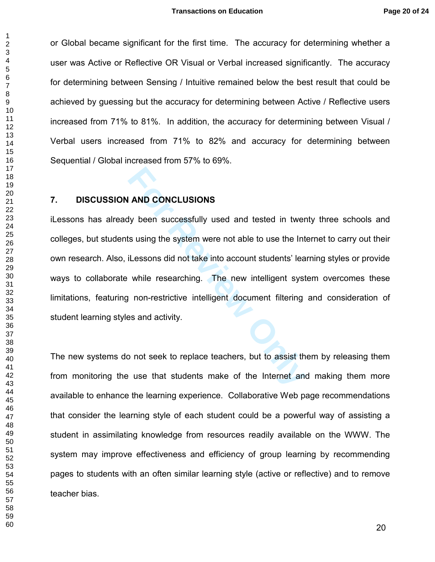or Global became significant for the first time. The accuracy for determining whether a user was Active or Reflective OR Visual or Verbal increased significantly. The accuracy for determining between Sensing / Intuitive remained below the best result that could be achieved by guessing but the accuracy for determining between Active / Reflective users increased from 71% to 81%. In addition, the accuracy for determining between Visual / Verbal users increased from 71% to 82% and accuracy for determining between Sequential / Global increased from 57% to 69%.

#### 7. DISCUSSION AND CONCLUSIONS

**FORTAL STAND CONCLUSIONS**<br>**For Summary Standard Standard Standard Standard Standard Standard Standard Standard Standard Standard Standard Standard Standard Standard Standard Standard Standard Standard Standard Standard St** iLessons has already been successfully used and tested in twenty three schools and colleges, but students using the system were not able to use the Internet to carry out their own research. Also, iLessons did not take into account students' learning styles or provide ways to collaborate while researching. The new intelligent system overcomes these limitations, featuring non-restrictive intelligent document filtering and consideration of student learning styles and activity.

The new systems do not seek to replace teachers, but to assist them by releasing them from monitoring the use that students make of the Internet and making them more available to enhance the learning experience. Collaborative Web page recommendations that consider the learning style of each student could be a powerful way of assisting a student in assimilating knowledge from resources readily available on the WWW. The system may improve effectiveness and efficiency of group learning by recommending pages to students with an often similar learning style (active or reflective) and to remove teacher bias.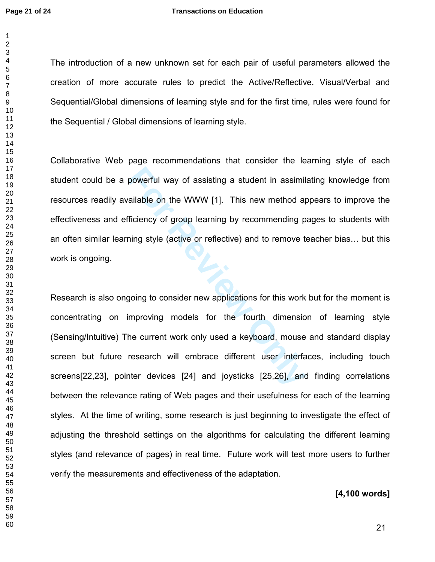The introduction of a new unknown set for each pair of useful parameters allowed the creation of more accurate rules to predict the Active/Reflective, Visual/Verbal and Sequential/Global dimensions of learning style and for the first time, rules were found for the Sequential / Global dimensions of learning style.

Collaborative Web page recommendations that consider the learning style of each student could be a powerful way of assisting a student in assimilating knowledge from resources readily available on the WWW [1]. This new method appears to improve the effectiveness and efficiency of group learning by recommending pages to students with an often similar learning style (active or reflective) and to remove teacher bias… but this work is ongoing.

powerful way of assisting a student in assimil<br>
Ficiency of group learning by recommending p<br>
Ficiency of group learning by recommending p<br>
Ficiency of group learning by recommending p<br>
Fing style (active or reflective) an Research is also ongoing to consider new applications for this work but for the moment is concentrating on improving models for the fourth dimension of learning style (Sensing/Intuitive) The current work only used a keyboard, mouse and standard display screen but future research will embrace different user interfaces, including touch screens[22,23], pointer devices [24] and joysticks [25,26], and finding correlations between the relevance rating of Web pages and their usefulness for each of the learning styles. At the time of writing, some research is just beginning to investigate the effect of adjusting the threshold settings on the algorithms for calculating the different learning styles (and relevance of pages) in real time. Future work will test more users to further verify the measurements and effectiveness of the adaptation.

#### [4,100 words]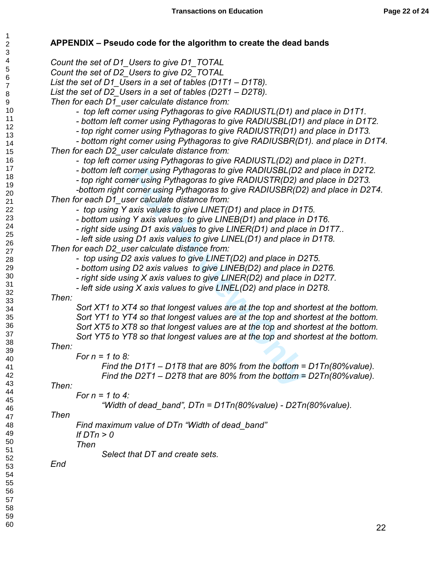## APPENDIX – Pseudo code for the algorithm to create the dead bands

orner using Pythagoras to give RADIUSBL(D2 a<br>ner using Pythagoras to give RADIUSTR(D2) ar<br>corner using Pythagoras to give RADIUSTR(D2) ar<br>corner using Pythagoras to give RADIUSBR(D2<br>ser calculate distance from:<br>axis values *Count the set of D1\_Users to give D1\_TOTAL Count the set of D2\_Users to give D2\_TOTAL List the set of D1\_Users in a set of tables (D1T1 – D1T8). List the set of D2\_Users in a set of tables (D2T1 – D2T8). Then for each D1\_user calculate distance from: - top left corner using Pythagoras to give RADIUSTL(D1) and place in D1T1. - bottom left corner using Pythagoras to give RADIUSBL(D1) and place in D1T2. - top right corner using Pythagoras to give RADIUSTR(D1) and place in D1T3. - bottom right corner using Pythagoras to give RADIUSBR(D1). and place in D1T4. Then for each D2\_user calculate distance from: - top left corner using Pythagoras to give RADIUSTL(D2) and place in D2T1. - bottom left corner using Pythagoras to give RADIUSBL(D2 and place in D2T2. - top right corner using Pythagoras to give RADIUSTR(D2) and place in D2T3. -bottom right corner using Pythagoras to give RADIUSBR(D2) and place in D2T4. Then for each D1\_user calculate distance from: - top using Y axis values to give LINET(D1) and place in D1T5. - bottom using Y axis values to give LINEB(D1) and place in D1T6. - right side using D1 axis values to give LINER(D1) and place in D1T7.. - left side using D1 axis values to give LINEL(D1) and place in D1T8. Then for each D2\_user calculate distance from: - top using D2 axis values to give LINET(D2) and place in D2T5. - bottom using D2 axis values to give LINEB(D2) and place in D2T6. - right side using X axis values to give LINER(D2) and place in D2T7. - left side using X axis values to give LINEL(D2) and place in D2T8. Then: Sort XT1 to XT4 so that longest values are at the top and shortest at the bottom. Sort YT1 to YT4 so that longest values are at the top and shortest at the bottom. Sort XT5 to XT8 so that longest values are at the top and shortest at the bottom. Sort YT5 to YT8 so that longest values are at the top and shortest at the bottom. Then: For n = 1 to 8: Find the D1T1 – D1T8 that are 80% from the bottom = D1Tn(80%value). Find the D2T1 – D2T8 that are 80% from the bottom = D2Tn(80%value). Then: For n = 1 to 4: "Width of dead\_band", DTn = D1Tn(80%value) - D2Tn(80%value). Then Find maximum value of DTn "Width of dead\_band" If DTn > 0 Then Select that DT and create sets.* 

*End*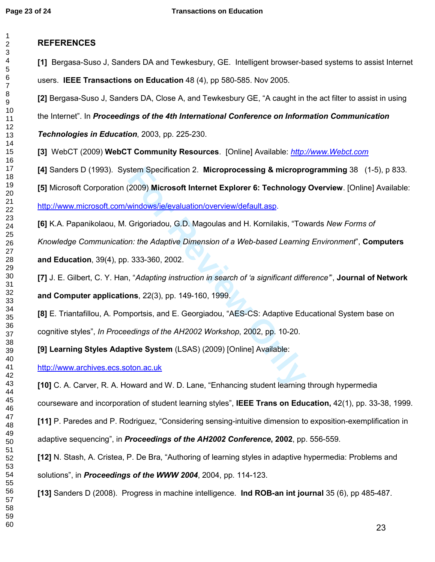## REFERENCES

[1] Bergasa-Suso J, Sanders DA and Tewkesbury, GE. I[ntelligent browser-based systems to assist Internet](http://apps.isiknowledge.com/full_record.do?product=UA&search_mode=Refine&qid=65&SID=W14jBk6Hmh4NBI6bhp2&page=12&doc=112&colname=WOS)  [users.](http://apps.isiknowledge.com/full_record.do?product=UA&search_mode=Refine&qid=65&SID=W14jBk6Hmh4NBI6bhp2&page=12&doc=112&colname=WOS) IEEE Transactions on Education 48 (4), pp 580-585. Nov 2005.

[2] Bergasa-Suso J, Sanders DA, Close A, and Tewkesbury GE, "A caught in the act filter to assist in using

the Internet". In Proceedings of the 4th International Conference on Information Communication

Technologies in Education, 2003, pp. 225-230.

[3] WebCT (2009) WebCT Community Resources. [Online] Available: *[http://www.Webct.com](http://www.webct.com/software/viewpage?name=software_campus_edition)*

[4] Sanders D (1993). System Specification 2. Microprocessing & microprogramming 38 (1-5), p 833.

[5] Microsoft Corporation (2009) Microsoft Internet Explorer 6: Technology Overview. [Online] Available:

<http://www.microsoft.com/windows/ie/evaluation/overview/default.asp> .

[6] K.A. Papanikolaou, M. Grigoriadou, G.D. Magoulas and H. Kornilakis, "Towards *New Forms of Knowledge Communication: the Adaptive Dimension of a Web-based Learning Environment*", Computers

and Education, 39(4), pp. 333-360, 2002.

[7] J. E. Gilbert, C. Y. Han, "*Adapting instruction in search of 'a significant difference'*", Journal of Network and Computer applications, 22(3), pp. 149-160, 1999.

stem Specification 2. Microprocessing & microprocessing 2009) Microsoft Internet Explorer 6: Technology<br>
<u>windows/ie/evaluation/overview/default.asp</u><br>
Grigoriadou, G.D. Magoulas and H. Kornilakis, "Tov<br>
n: the Adaptive Dim [8] E. Triantafillou, A. Pomportsis, and E. Georgiadou, "AES-CS: Adaptive Educational System base on cognitive styles", *In Proceedings of the AH2002 Workshop*, 2002, pp. 10-20.

[9] Learning Styles Adaptive System (LSAS) (2009) [Online] Available:

[http://www.archives.ecs.soton.ac.uk](http://www.archives.ecs.soton.ac.uk/)

[10] C. A. Carver, R. A. Howard and W. D. Lane, "Enhancing student learning through hypermedia courseware and incorporation of student learning styles", IEEE Trans on Education, 42(1), pp. 33-38, 1999.

[11] P. Paredes and P. Rodriguez, "Considering sensing-intuitive dimension to exposition-exemplification in

adaptive sequencing", in *Proceedings of the AH2002 Conference*, 2002, pp. 556-559.

[12] N. Stash, A. Cristea, P. De Bra, "Authoring of learning styles in adaptive hypermedia: Problems and solutions", in *Proceedings of the WWW 2004*, 2004, pp. 114-123.

[13] Sanders D (2008). [Progress in machine intelligence.](http://apps.isiknowledge.com/full_record.do?product=UA&search_mode=Refine&qid=65&SID=W14jBk6Hmh4NBI6bhp2&page=4&doc=33&colname=WOS&cacheurlFromRightClick=no) Ind ROB-an int journal 35 (6), pp 485-487.